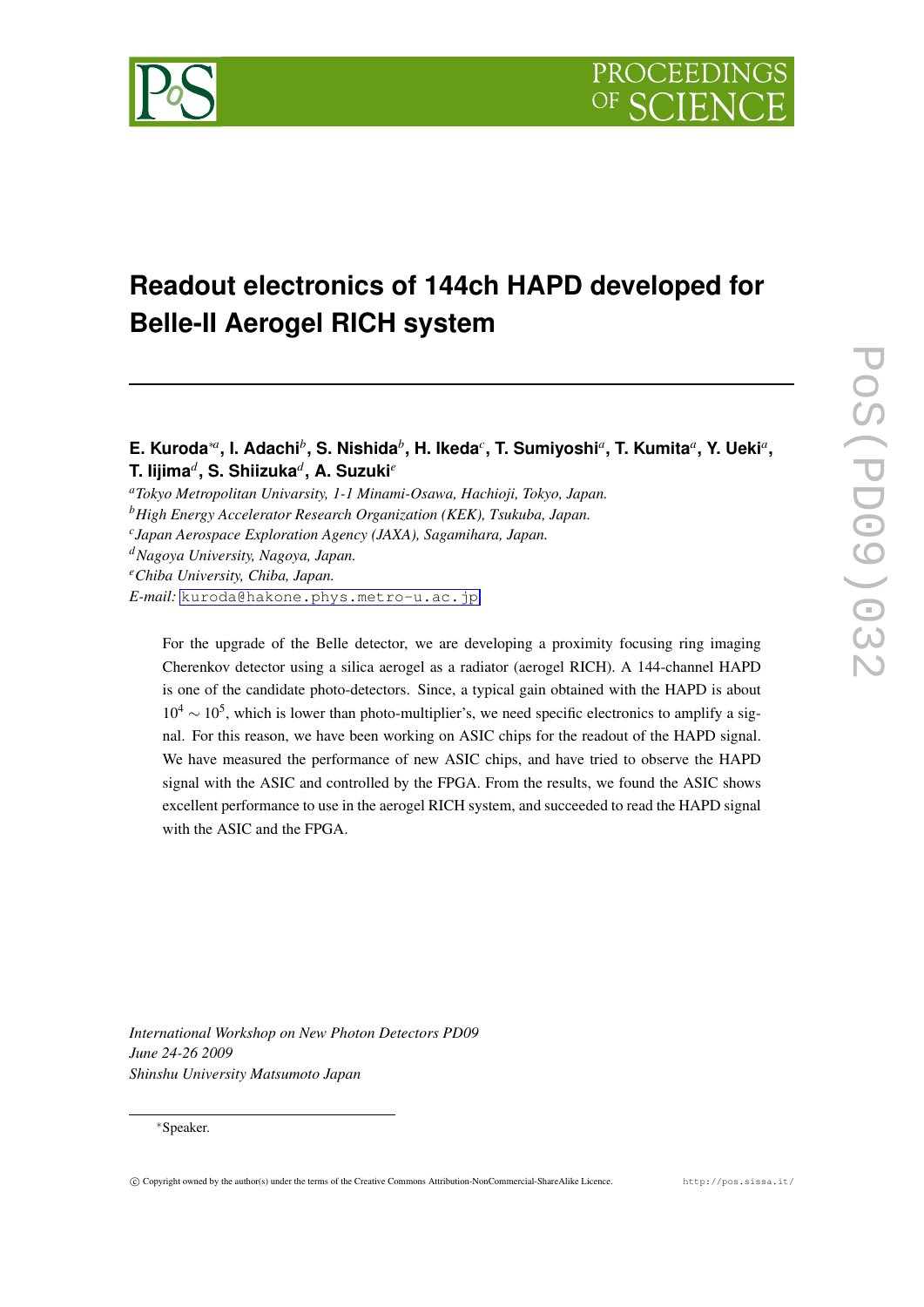

# **Readout electronics of 144ch HAPD developed for Belle-II Aerogel RICH system**

## **E. Kuroda***∗<sup>a</sup>* **, I. Adachi***<sup>b</sup>* **, S. Nishida***<sup>b</sup>* **, H. Ikeda***<sup>c</sup>* **, T. Sumiyoshi***<sup>a</sup>* **, T. Kumita***<sup>a</sup>* **, Y. Ueki***<sup>a</sup>* **, T. Iijima***<sup>d</sup>* **, S. Shiizuka***<sup>d</sup>* **, A. Suzuki***<sup>e</sup>*

*<sup>a</sup>Tokyo Metropolitan Univarsity, 1-1 Minami-Osawa, Hachioji, Tokyo, Japan.*

*<sup>b</sup>High Energy Accelerator Research Organization (KEK), Tsukuba, Japan.*

*c Japan Aerospace Exploration Agency (JAXA), Sagamihara, Japan.*

*<sup>d</sup>Nagoya University, Nagoya, Japan.*

*<sup>e</sup>Chiba University, Chiba, Japan.*

*E-mail:* [kuroda@hakone.phys.metro-u.ac.jp](mailto:kuroda@hakone.phys.metro-u.ac.jp)

For the upgrade of the Belle detector, we are developing a proximity focusing ring imaging Cherenkov detector using a silica aerogel as a radiator (aerogel RICH). A 144-channel HAPD is one of the candidate photo-detectors. Since, a typical gain obtained with the HAPD is about 10<sup>4</sup> ~ 10<sup>5</sup>, which is lower than photo-multiplier's, we need specific electronics to amplify a signal. For this reason, we have been working on ASIC chips for the readout of the HAPD signal. We have measured the performance of new ASIC chips, and have tried to observe the HAPD signal with the ASIC and controlled by the FPGA. From the results, we found the ASIC shows excellent performance to use in the aerogel RICH system, and succeeded to read the HAPD signal with the ASIC and the FPGA.

*International Workshop on New Photon Detectors PD09 June 24-26 2009 Shinshu University Matsumoto Japan*

#### *∗*Speaker.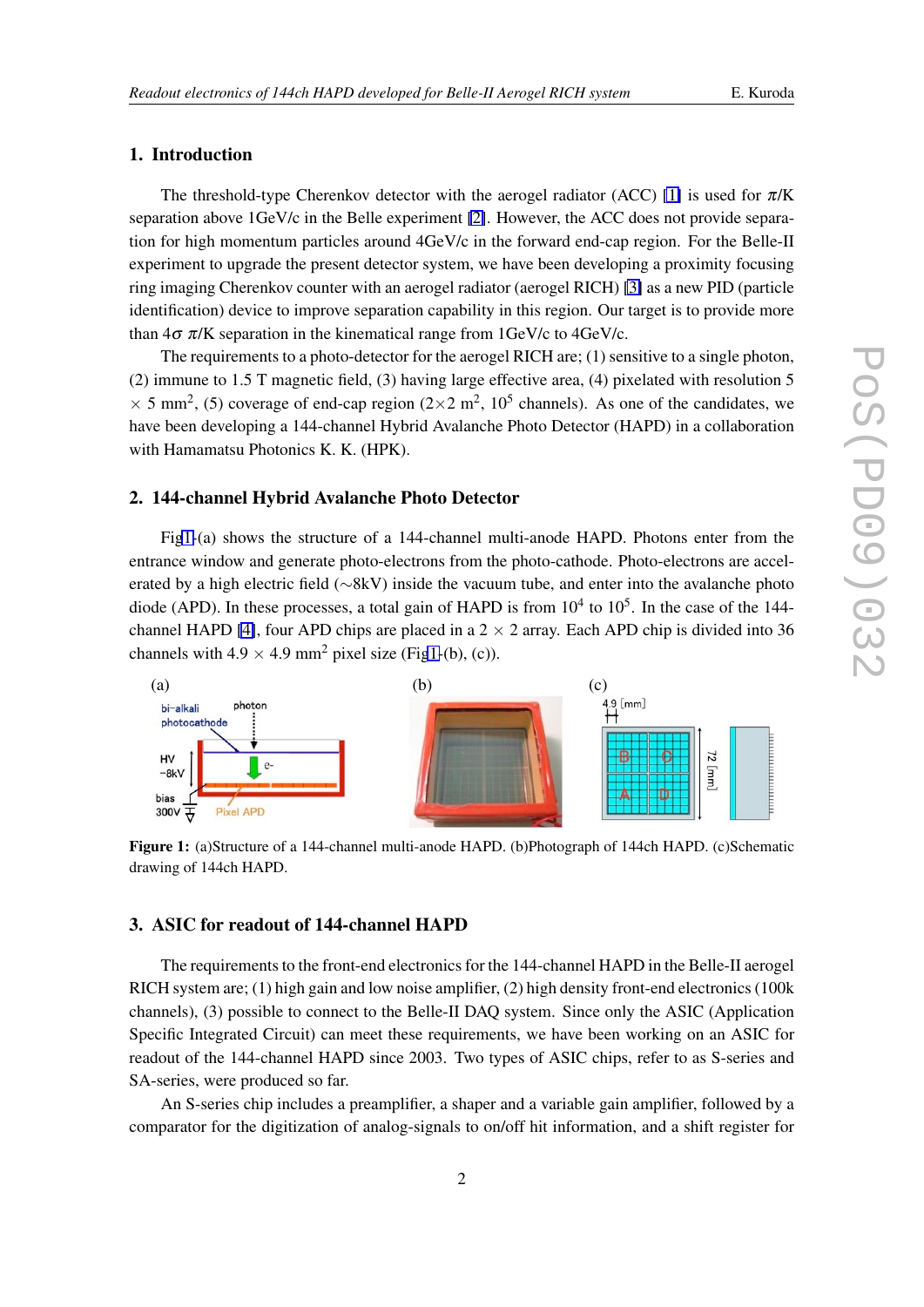## 1. Introduction

The threshold-type Cherenkov detector with the aerogel radiator (ACC) [\[1\]](#page-3-0) is used for  $\pi$ /K separation above 1GeV/c in the Belle experiment [\[2\]](#page-3-0). However, the ACC does not provide separation for high momentum particles around 4GeV/c in the forward end-cap region. For the Belle-II experiment to upgrade the present detector system, we have been developing a proximity focusing ring imaging Cherenkov counter with an aerogel radiator (aerogel RICH) [\[3\]](#page-3-0) as a new PID (particle identification) device to improve separation capability in this region. Our target is to provide more than  $4\sigma \pi/K$  separation in the kinematical range from  $1\text{GeV/c}$  to  $4\text{GeV/c}$ .

The requirements to a photo-detector for the aerogel RICH are; (1) sensitive to a single photon, (2) immune to 1.5 T magnetic field, (3) having large effective area, (4) pixelated with resolution 5  $\times$  5 mm<sup>2</sup>, (5) coverage of end-cap region (2 $\times$ 2 m<sup>2</sup>, 10<sup>5</sup> channels). As one of the candidates, we have been developing a 144-channel Hybrid Avalanche Photo Detector (HAPD) in a collaboration with Hamamatsu Photonics K. K. (HPK).

#### 2. 144-channel Hybrid Avalanche Photo Detector

Fig1-(a) shows the structure of a 144-channel multi-anode HAPD. Photons enter from the entrance window and generate photo-electrons from the photo-cathode. Photo-electrons are accelerated by a high electric field (*∼*8kV) inside the vacuum tube, and enter into the avalanche photo diode (APD). In these processes, a total gain of HAPD is from  $10^4$  to  $10^5$ . In the case of the 144-channel HAPD [\[4\]](#page-3-0), four APD chips are placed in a  $2 \times 2$  array. Each APD chip is divided into 36 channels with  $4.9 \times 4.9$  mm<sup>2</sup> pixel size (Fig1-(b), (c)).



Figure 1: (a)Structure of a 144-channel multi-anode HAPD. (b)Photograph of 144ch HAPD. (c)Schematic drawing of 144ch HAPD.

## 3. ASIC for readout of 144-channel HAPD

The requirements to the front-end electronics for the 144-channel HAPD in the Belle-II aerogel RICH system are; (1) high gain and low noise amplifier, (2) high density front-end electronics (100k channels), (3) possible to connect to the Belle-II DAQ system. Since only the ASIC (Application Specific Integrated Circuit) can meet these requirements, we have been working on an ASIC for readout of the 144-channel HAPD since 2003. Two types of ASIC chips, refer to as S-series and SA-series, were produced so far.

An S-series chip includes a preamplifier, a shaper and a variable gain amplifier, followed by a comparator for the digitization of analog-signals to on/off hit information, and a shift register for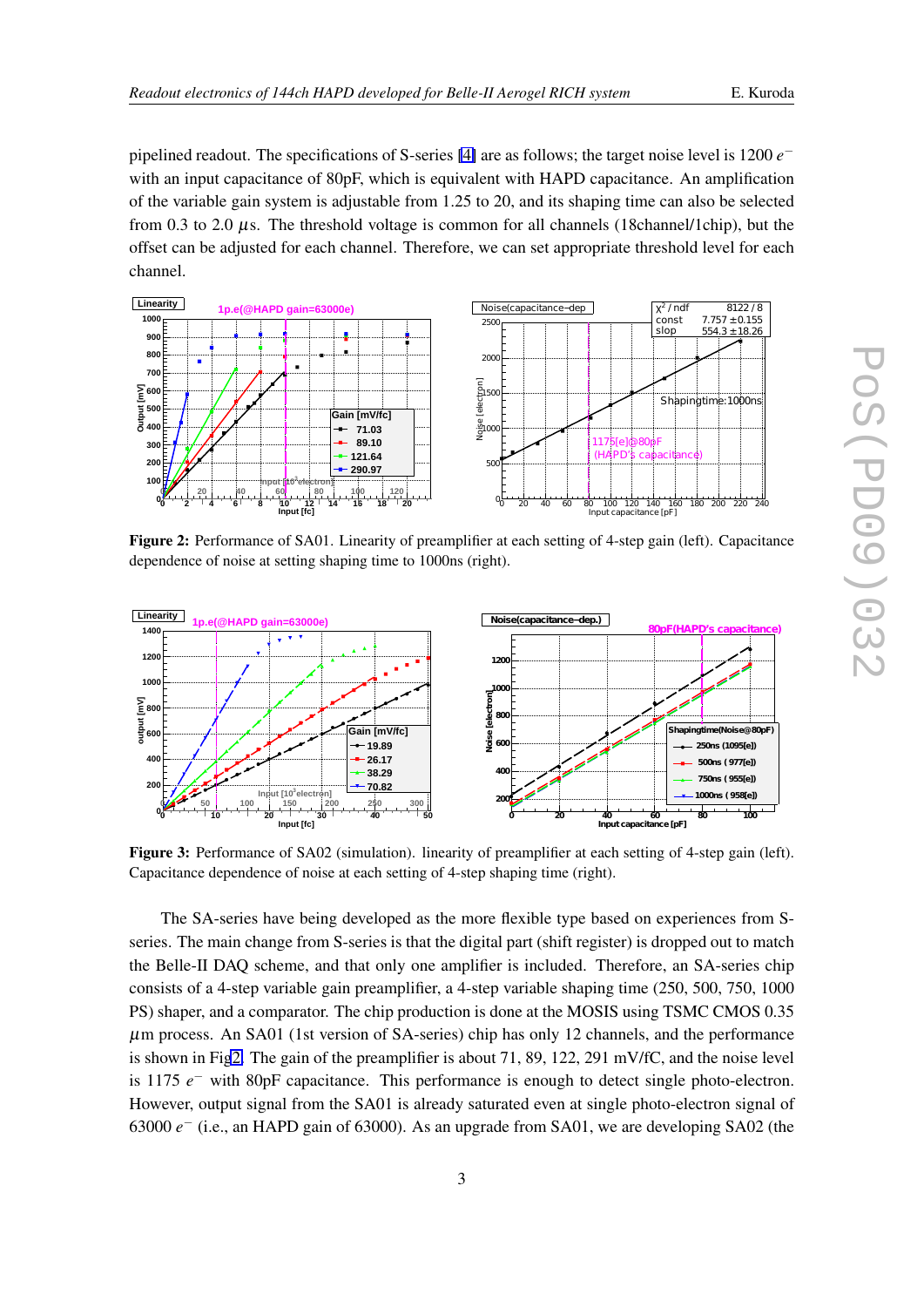<span id="page-2-0"></span>pipelined readout. The specifications of S-series [\[4\]](#page-3-0) are as follows; the target noise level is 1200 *e −* with an input capacitance of 80pF, which is equivalent with HAPD capacitance. An amplification of the variable gain system is adjustable from 1.25 to 20, and its shaping time can also be selected from 0.3 to 2.0  $\mu$ s. The threshold voltage is common for all channels (18channel/1chip), but the offset can be adjusted for each channel. Therefore, we can set appropriate threshold level for each channel.



Figure 2: Performance of SA01. Linearity of preamplifier at each setting of 4-step gain (left). Capacitance dependence of noise at setting shaping time to 1000ns (right).



Figure 3: Performance of SA02 (simulation). linearity of preamplifier at each setting of 4-step gain (left). Capacitance dependence of noise at each setting of 4-step shaping time (right).

The SA-series have being developed as the more flexible type based on experiences from Sseries. The main change from S-series is that the digital part (shift register) is dropped out to match the Belle-II DAQ scheme, and that only one amplifier is included. Therefore, an SA-series chip consists of a 4-step variable gain preamplifier, a 4-step variable shaping time (250, 500, 750, 1000 PS) shaper, and a comparator. The chip production is done at the MOSIS using TSMC CMOS 0.35  $\mu$ m process. An SA01 (1st version of SA-series) chip has only 12 channels, and the performance is shown in Fig2. The gain of the preamplifier is about 71, 89, 122, 291 mV/fC, and the noise level is 1175 *e −* with 80pF capacitance. This performance is enough to detect single photo-electron. However, output signal from the SA01 is already saturated even at single photo-electron signal of 63000 *e −* (i.e., an HAPD gain of 63000). As an upgrade from SA01, we are developing SA02 (the